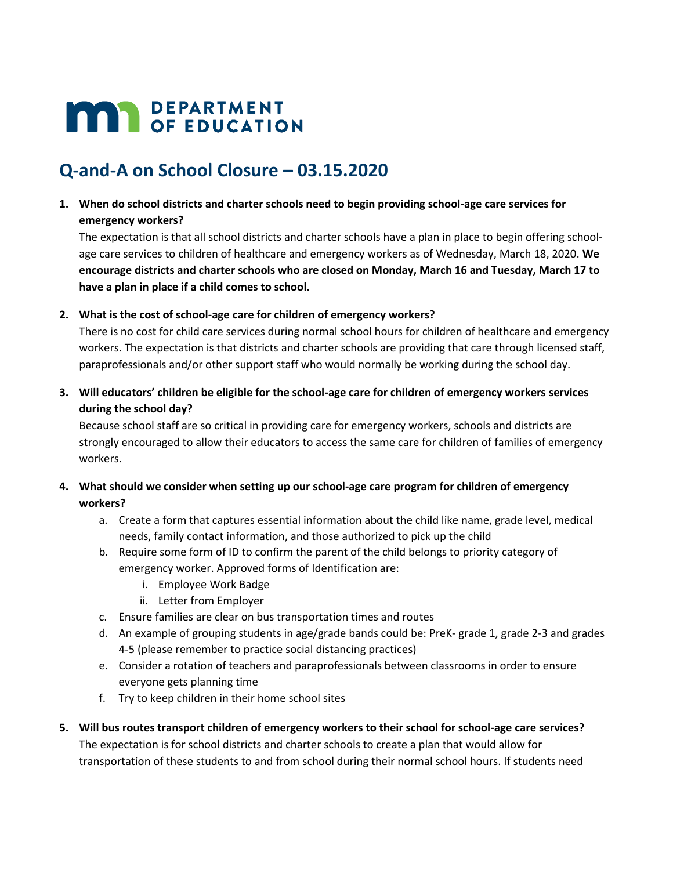# **MAY DEPARTMENT**

## **Q-and-A on School Closure – 03.15.2020**

**1. When do school districts and charter schools need to begin providing school-age care services for emergency workers?**

The expectation is that all school districts and charter schools have a plan in place to begin offering schoolage care services to children of healthcare and emergency workers as of Wednesday, March 18, 2020. **We encourage districts and charter schools who are closed on Monday, March 16 and Tuesday, March 17 to have a plan in place if a child comes to school.**

## **2. What is the cost of school-age care for children of emergency workers?**

There is no cost for child care services during normal school hours for children of healthcare and emergency workers. The expectation is that districts and charter schools are providing that care through licensed staff, paraprofessionals and/or other support staff who would normally be working during the school day.

**3. Will educators' children be eligible for the school-age care for children of emergency workers services during the school day?**

Because school staff are so critical in providing care for emergency workers, schools and districts are strongly encouraged to allow their educators to access the same care for children of families of emergency workers.

- **4. What should we consider when setting up our school-age care program for children of emergency workers?**
	- a. Create a form that captures essential information about the child like name, grade level, medical needs, family contact information, and those authorized to pick up the child
	- b. Require some form of ID to confirm the parent of the child belongs to priority category of emergency worker. Approved forms of Identification are:
		- i. Employee Work Badge
		- ii. Letter from Employer
	- c. Ensure families are clear on bus transportation times and routes
	- d. An example of grouping students in age/grade bands could be: PreK- grade 1, grade 2-3 and grades 4-5 (please remember to practice social distancing practices)
	- e. Consider a rotation of teachers and paraprofessionals between classrooms in order to ensure everyone gets planning time
	- f. Try to keep children in their home school sites
- **5. Will bus routes transport children of emergency workers to their school for school-age care services?** The expectation is for school districts and charter schools to create a plan that would allow for transportation of these students to and from school during their normal school hours. If students need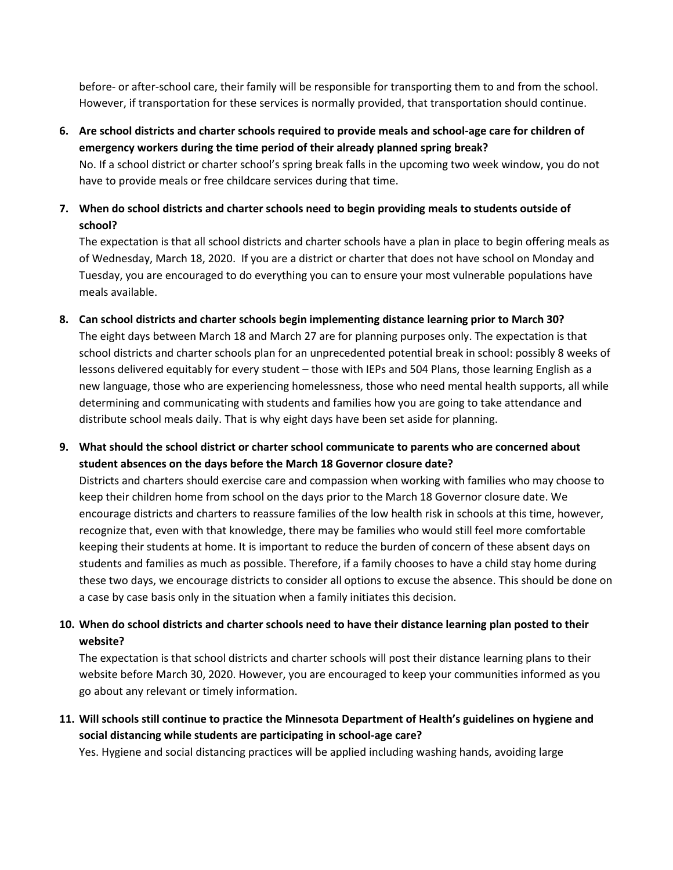before- or after-school care, their family will be responsible for transporting them to and from the school. However, if transportation for these services is normally provided, that transportation should continue.

**6. Are school districts and charter schools required to provide meals and school-age care for children of emergency workers during the time period of their already planned spring break?**

No. If a school district or charter school's spring break falls in the upcoming two week window, you do not have to provide meals or free childcare services during that time.

**7. When do school districts and charter schools need to begin providing meals to students outside of school?**

The expectation is that all school districts and charter schools have a plan in place to begin offering meals as of Wednesday, March 18, 2020. If you are a district or charter that does not have school on Monday and Tuesday, you are encouraged to do everything you can to ensure your most vulnerable populations have meals available.

- **8. Can school districts and charter schools begin implementing distance learning prior to March 30?** The eight days between March 18 and March 27 are for planning purposes only. The expectation is that school districts and charter schools plan for an unprecedented potential break in school: possibly 8 weeks of lessons delivered equitably for every student – those with IEPs and 504 Plans, those learning English as a new language, those who are experiencing homelessness, those who need mental health supports, all while determining and communicating with students and families how you are going to take attendance and distribute school meals daily. That is why eight days have been set aside for planning.
- **9. What should the school district or charter school communicate to parents who are concerned about student absences on the days before the March 18 Governor closure date?**

Districts and charters should exercise care and compassion when working with families who may choose to keep their children home from school on the days prior to the March 18 Governor closure date. We encourage districts and charters to reassure families of the low health risk in schools at this time, however, recognize that, even with that knowledge, there may be families who would still feel more comfortable keeping their students at home. It is important to reduce the burden of concern of these absent days on students and families as much as possible. Therefore, if a family chooses to have a child stay home during these two days, we encourage districts to consider all options to excuse the absence. This should be done on a case by case basis only in the situation when a family initiates this decision.

**10. When do school districts and charter schools need to have their distance learning plan posted to their website?**

The expectation is that school districts and charter schools will post their distance learning plans to their website before March 30, 2020. However, you are encouraged to keep your communities informed as you go about any relevant or timely information.

**11. Will schools still continue to practice the Minnesota Department of Health's guidelines on hygiene and social distancing while students are participating in school-age care?**

Yes. Hygiene and social distancing practices will be applied including washing hands, avoiding large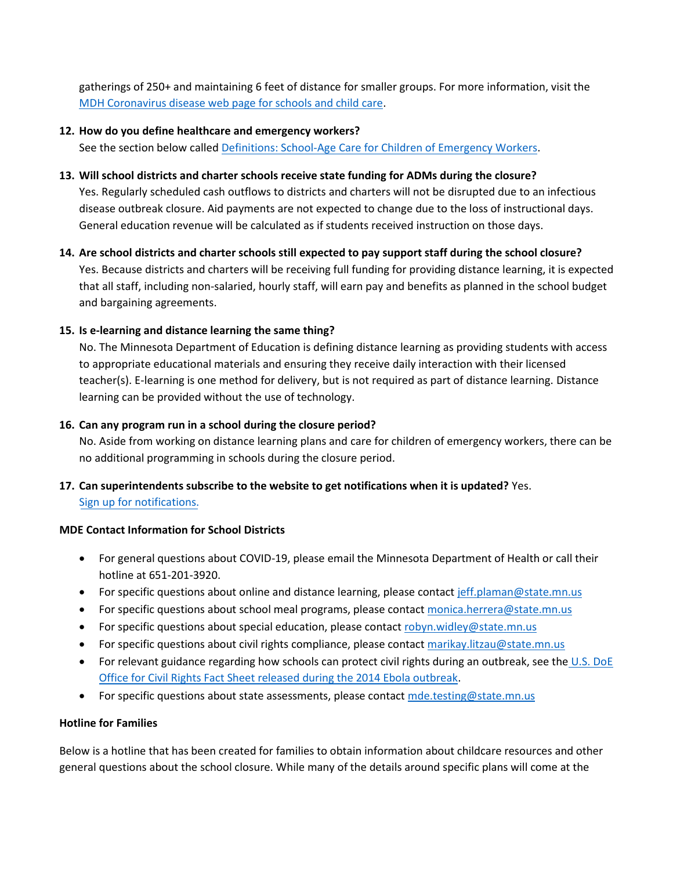gatherings of 250+ and maintaining 6 feet of distance for smaller groups. For more information, visit the [MDH Coronavirus disease web page for schools and child care.](https://www.health.state.mn.us/diseases/coronavirus/schools.html)

## **12. How do you define healthcare and emergency workers?**

See the section below calle[d Definitions: School-Age Care for Children of Emergency Workers.](#page-3-0)

## **13. Will school districts and charter schools receive state funding for ADMs during the closure?**

Yes. Regularly scheduled cash outflows to districts and charters will not be disrupted due to an infectious disease outbreak closure. Aid payments are not expected to change due to the loss of instructional days. General education revenue will be calculated as if students received instruction on those days.

**14. Are school districts and charter schools still expected to pay support staff during the school closure?** Yes. Because districts and charters will be receiving full funding for providing distance learning, it is expected that all staff, including non-salaried, hourly staff, will earn pay and benefits as planned in the school budget and bargaining agreements.

## **15. Is e-learning and distance learning the same thing?**

No. The Minnesota Department of Education is defining distance learning as providing students with access to appropriate educational materials and ensuring they receive daily interaction with their licensed teacher(s). E-learning is one method for delivery, but is not required as part of distance learning. Distance learning can be provided without the use of technology.

## **16. Can any program run in a school during the closure period?**

No. Aside from working on distance learning plans and care for children of emergency workers, there can be no additional programming in schools during the closure period.

## **17. Can superintendents subscribe to the website to get notifications when it is updated?** Yes. Sign up for notificat[ions.](https://public.govdelivery.com/accounts/MNMDE/subscriber/new?topic_id=MNMDE_1704)

## **MDE Contact Information for School Districts**

- For general questions about COVID-19, please email the Minnesota Department of Health or call their hotline at 651-201-3920.
- **•** For specific questions about online and distance learning, please contact [jeff.plaman@state.mn.us](mailto:jeff.plaman@state.mn.us)
- **For specific questions about school meal programs, please contact [monica.herrera@state.mn.us](mailto:monica.herrera@state.mn.us)**
- For specific questions about special education, please contact [robyn.widley@state.mn.us](mailto:robyn.widley@state.mn.us)
- For specific questions about civil rights compliance, please contact [marikay.litzau@state.mn.us](mailto:marikay.litzau@state.mn.us)
- For relevant guidance regarding how schools can protect civil rights during an outbreak, see the [U.S. DoE](https://www2.ed.gov/about/offices/list/ocr/docs/ocr-factsheet-ebola-201412.pdf) [Office for Civil Rights Fact Sheet released during the 2014 Ebola outbreak.](https://www2.ed.gov/about/offices/list/ocr/docs/ocr-factsheet-ebola-201412.pdf)
- For specific questions about state assessments, please contact [mde.testing@state.mn.us](mailto:mde.testing@state.mn.us)

## **Hotline for Families**

Below is a hotline that has been created for families to obtain information about childcare resources and other general questions about the school closure. While many of the details around specific plans will come at the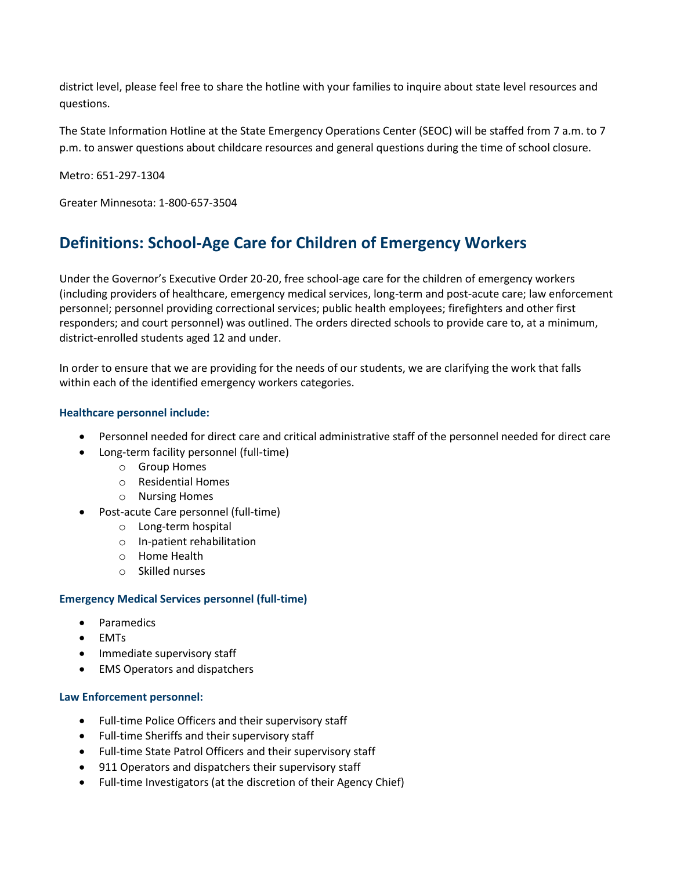district level, please feel free to share the hotline with your families to inquire about state level resources and questions.

The State Information Hotline at the State Emergency Operations Center (SEOC) will be staffed from 7 a.m. to 7 p.m. to answer questions about childcare resources and general questions during the time of school closure.

Metro: 651-297-1304

Greater Minnesota: 1-800-657-3504

## <span id="page-3-0"></span>**Definitions: School-Age Care for Children of Emergency Workers**

Under the Governor's Executive Order 20-20, free school-age care for the children of emergency workers (including providers of healthcare, emergency medical services, long-term and post-acute care; law enforcement personnel; personnel providing correctional services; public health employees; firefighters and other first responders; and court personnel) was outlined. The orders directed schools to provide care to, at a minimum, district-enrolled students aged 12 and under.

In order to ensure that we are providing for the needs of our students, we are clarifying the work that falls within each of the identified emergency workers categories.

## **Healthcare personnel include:**

- Personnel needed for direct care and critical administrative staff of the personnel needed for direct care
- Long-term facility personnel (full-time)
	- o Group Homes
	- o Residential Homes
	- o Nursing Homes
- Post-acute Care personnel (full-time)
	- o Long-term hospital
	- o In-patient rehabilitation
	- o Home Health
	- o Skilled nurses

### **Emergency Medical Services personnel (full-time)**

- Paramedics
- $\bullet$  FMTs
- Immediate supervisory staff
- EMS Operators and dispatchers

### **Law Enforcement personnel:**

- Full-time Police Officers and their supervisory staff
- Full-time Sheriffs and their supervisory staff
- Full-time State Patrol Officers and their supervisory staff
- 911 Operators and dispatchers their supervisory staff
- Full-time Investigators (at the discretion of their Agency Chief)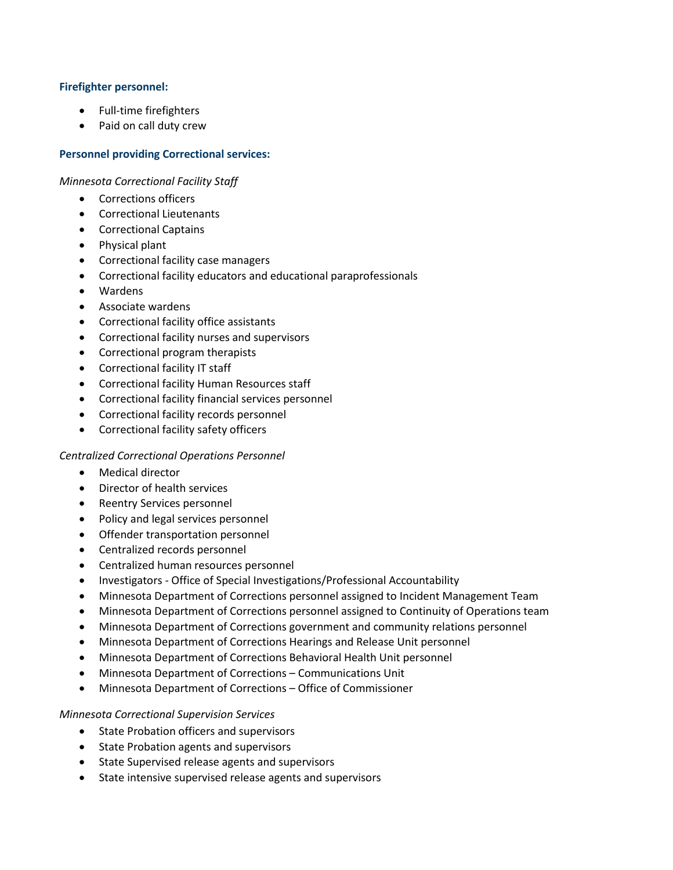## **Firefighter personnel:**

- Full-time firefighters
- Paid on call duty crew

## **Personnel providing Correctional services:**

*Minnesota Correctional Facility Staff*

- Corrections officers
- Correctional Lieutenants
- Correctional Captains
- Physical plant
- Correctional facility case managers
- Correctional facility educators and educational paraprofessionals
- Wardens
- Associate wardens
- Correctional facility office assistants
- Correctional facility nurses and supervisors
- Correctional program therapists
- Correctional facility IT staff
- Correctional facility Human Resources staff
- Correctional facility financial services personnel
- Correctional facility records personnel
- Correctional facility safety officers

## *Centralized Correctional Operations Personnel*

- Medical director
- Director of health services
- Reentry Services personnel
- Policy and legal services personnel
- Offender transportation personnel
- Centralized records personnel
- Centralized human resources personnel
- Investigators Office of Special Investigations/Professional Accountability
- Minnesota Department of Corrections personnel assigned to Incident Management Team
- Minnesota Department of Corrections personnel assigned to Continuity of Operations team
- Minnesota Department of Corrections government and community relations personnel
- Minnesota Department of Corrections Hearings and Release Unit personnel
- Minnesota Department of Corrections Behavioral Health Unit personnel
- Minnesota Department of Corrections Communications Unit
- Minnesota Department of Corrections Office of Commissioner

## *Minnesota Correctional Supervision Services*

- State Probation officers and supervisors
- State Probation agents and supervisors
- State Supervised release agents and supervisors
- State intensive supervised release agents and supervisors